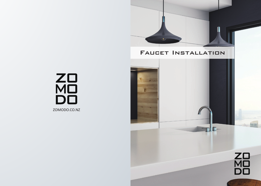## **FAUCET INSTALLATION**

 $\mathcal{L}$ 

ZO<br>MO<br>DO ZOMODO.CO.NZ



 $\neg$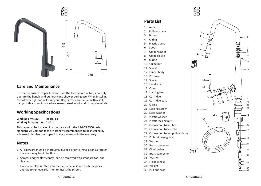## ZO<br>MO<br>DO



### **Care and Maintenance**

In order to ensure proper function over the lifetime of the tap, smoothly operate the handle and pull-out hand shower during use. When installing do not over tighten the locking nut. Regularly clean the tap with a soft, damp cloth and avoid abrasive cleaners, steel wool, and strong chemicals.

## **Working Specifications**

Working pressure: 20-100 psi Working temperature: 1-60°C

This tap must be installed in accordance with the AS/NZS 3500 series standard. All Zomodo taps are stongly recommended to be installed by a licensed plumber. Improper installation may void the warranty.

## **Notes**

- 1. All pipework must be thoroughly flushed prior to installation as foreign materials may block the flow .
- 2. Aerator and the flow control can be removed with standard tool and cleaned.
- 3. If a screen-filter is fitted into the tap, remove it and flush the pipes and tap to remove grit. Then re-insert the screen.



## **Parts List**

- 1 Aerator
- 2 Pull out spray
- 3 Button
- 4 O-ring
- 5 Plastic sleeve
- 6 Spout
- 7 Guide washer
- 8 Guide sleeve
- 9 O-ring
- 10 Guide nut
- 11 Screw
- 12 Faucet body
- 13 Pin lever
- 14 Screw
- 15 Handle cap
- 16 Cover
- 17 Locking Nut
- 18 Cartridge
- 19 Cartridge base
- 20 O-ring
- 21 Locking Screw
- 22 Steel washer
- 23 Plastic washer
- 24 Plastic locking nut
- 25 Connection tube hot
- 26 Connection tube- cold
- 27 Connection tube pull out hose
- 28 Pull-out hose guide
- 29 Washer
- 30 Brass connector
- 31 Check-valve
- 32 Brass connector
- 33 Washer
- 34 Flexible hose
- 35 Weight
- 36 Pull out hose



33 32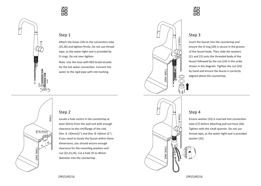#### Step 1

Attach the hoses (34) to the connection tube (25,26) and tighten firmly. Do not use thread tape, as the water-tight seal is provided by O-rings. Do not over tighten.

Note: Use the hose with RED braid-strands for the hot water connection. Connect hot water to the rigid pipe with red marking.



## Step 3

Insert the faucet into the countertop and ensure the O-ring (20) is secure in the groove of the faucet body. Then slide the washers (21 and 22) onto the threaded body of the faucet followed by the nut (24) in the order shown in the diagram. Tighten the nut (24) by hand and ensure the faucet is correctly aligned above the countertop.

# WALL Ø 35-40mm B A SINK WALL **SINK WAL**

## Step 2

Locate a hole centre in the countertop at least 50mm from the wall and with enough clearance to the rim/flange of the sink. Dim. A >50mm(2") and Dim. B >50mm (2") . If you need to locate the faucet within these dimensions, you should ensure enough clearance for the mounting washers and nut (22,23,24). Cut a hole 35 to 40mm diameter into the countertop .



#### Step 4

Ensure washer (33) is inserted into connection tube (27) before attaching pull-out hose (36). Tighten with the small spanner. Do not use thread tape, as the water-tight seal is provided washer (33).